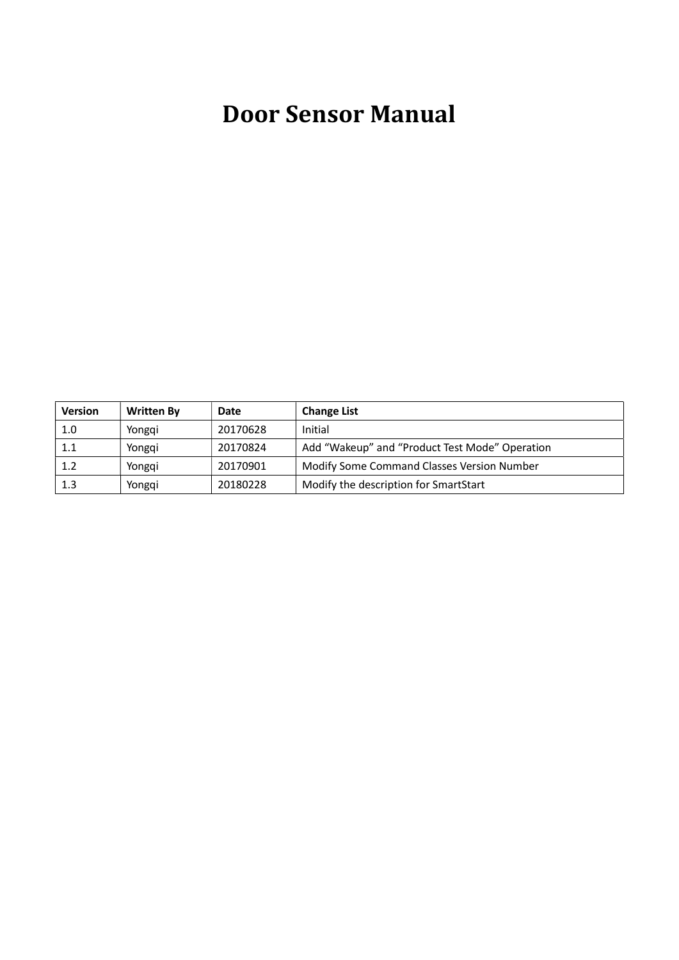# Door Sensor Manual

| <b>Version</b> | <b>Written By</b> | Date     | <b>Change List</b>                             |
|----------------|-------------------|----------|------------------------------------------------|
| 1.0            | Yongqi            | 20170628 | Initial                                        |
| 1.1            | Yonggi            | 20170824 | Add "Wakeup" and "Product Test Mode" Operation |
| 1.2            | Yonggi            | 20170901 | Modify Some Command Classes Version Number     |
| $1.3\,$        | Yongqi            | 20180228 | Modify the description for SmartStart          |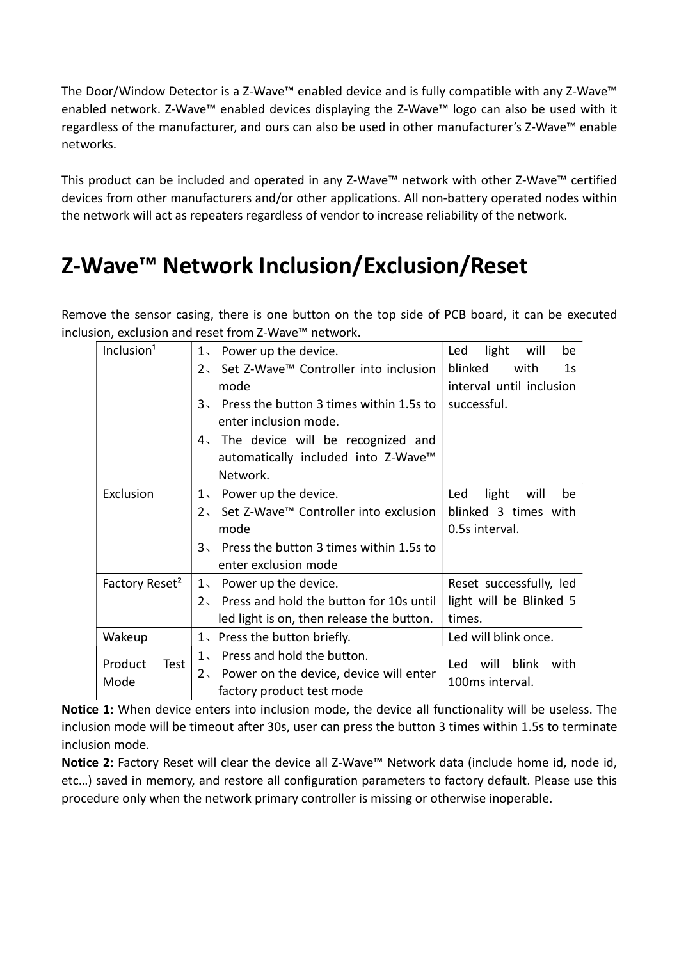The Door/Window Detector is a Z-Wave™ enabled device and is fully compatible with any Z-Wave™ enabled network. Z-Wave™ enabled devices displaying the Z-Wave™ logo can also be used with it regardless of the manufacturer, and ours can also be used in other manufacturer's Z-Wave™ enable networks.

This product can be included and operated in any Z-Wave™ network with other Z-Wave™ certified devices from other manufacturers and/or other applications. All non-battery operated nodes within the network will act as repeaters regardless of vendor to increase reliability of the network.

# Z-Wave™ Network Inclusion/Exclusion/Reset

Remove the sensor casing, there is one button on the top side of PCB board, it can be executed inclusion, exclusion and reset from Z-Wave™ network.

| Inclusion <sup>1</sup>     | Power up the device.<br>1                  | light<br>Led<br>will<br>be        |
|----------------------------|--------------------------------------------|-----------------------------------|
|                            | 2、 Set Z-Wave™ Controller into inclusion   | blinked<br>with<br>1 <sub>S</sub> |
|                            | mode                                       | interval until inclusion          |
|                            | 3. Press the button 3 times within 1.5s to | successful.                       |
|                            | enter inclusion mode.                      |                                   |
|                            | 4. The device will be recognized and       |                                   |
|                            | automatically included into Z-Wave™        |                                   |
|                            | Network.                                   |                                   |
| Exclusion                  | 1. Power up the device.                    | light<br>Led<br>will<br>be        |
|                            | 2, Set Z-Wave™ Controller into exclusion   | blinked 3 times with              |
|                            | mode                                       | 0.5s interval.                    |
|                            | 3. Press the button 3 times within 1.5s to |                                   |
|                            | enter exclusion mode                       |                                   |
| Factory Reset <sup>2</sup> | 1. Power up the device.                    | Reset successfully, led           |
|                            | 2. Press and hold the button for 10s until | light will be Blinked 5           |
|                            | led light is on, then release the button.  | times.                            |
| Wakeup                     | 1. Press the button briefly.               | Led will blink once.              |
| Product<br>Test            | Press and hold the button.<br>$1$ ,        | blink<br>will<br>Led<br>with      |
| Mode                       | 2. Power on the device, device will enter  | 100ms interval.                   |
|                            | factory product test mode                  |                                   |

Notice 1: When device enters into inclusion mode, the device all functionality will be useless. The inclusion mode will be timeout after 30s, user can press the button 3 times within 1.5s to terminate inclusion mode.

Notice 2: Factory Reset will clear the device all Z-Wave™ Network data (include home id, node id, etc…) saved in memory, and restore all configuration parameters to factory default. Please use this procedure only when the network primary controller is missing or otherwise inoperable.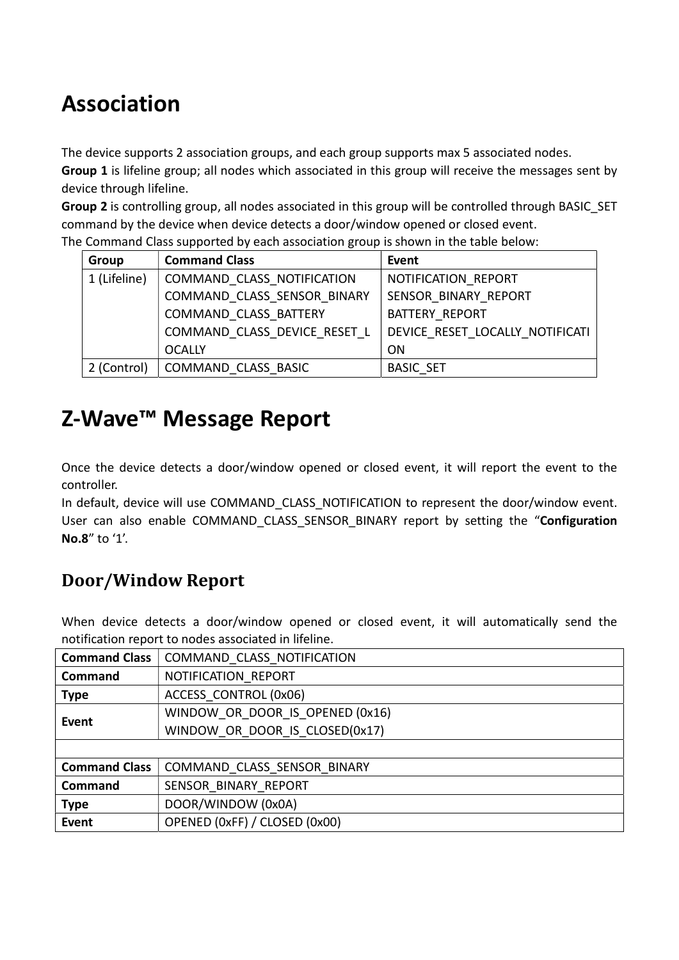# Association

The device supports 2 association groups, and each group supports max 5 associated nodes.

Group 1 is lifeline group; all nodes which associated in this group will receive the messages sent by device through lifeline.

Group 2 is controlling group, all nodes associated in this group will be controlled through BASIC\_SET command by the device when device detects a door/window opened or closed event.

| Group        | <b>Command Class</b>         | Event                           |
|--------------|------------------------------|---------------------------------|
| 1 (Lifeline) | COMMAND CLASS NOTIFICATION   | NOTIFICATION REPORT             |
|              | COMMAND CLASS SENSOR BINARY  | SENSOR BINARY REPORT            |
|              | COMMAND CLASS BATTERY        | <b>BATTERY REPORT</b>           |
|              | COMMAND CLASS DEVICE RESET L | DEVICE RESET LOCALLY NOTIFICATI |
|              | <b>OCALLY</b>                | <b>ON</b>                       |
| 2 (Control)  | COMMAND CLASS BASIC          | <b>BASIC SET</b>                |

The Command Class supported by each association group is shown in the table below:

## Z-Wave™ Message Report

Once the device detects a door/window opened or closed event, it will report the event to the controller.

In default, device will use COMMAND CLASS\_NOTIFICATION to represent the door/window event. User can also enable COMMAND CLASS SENSOR BINARY report by setting the "Configuration No.8" to '1'.

### Door/Window Report

When device detects a door/window opened or closed event, it will automatically send the notification report to nodes associated in lifeline.

| <b>Command Class</b> | COMMAND CLASS NOTIFICATION      |  |
|----------------------|---------------------------------|--|
| <b>Command</b>       | NOTIFICATION REPORT             |  |
| <b>Type</b>          | ACCESS CONTROL (0x06)           |  |
| <b>Event</b>         | WINDOW OR DOOR IS OPENED (0x16) |  |
|                      | WINDOW OR DOOR IS CLOSED(0x17)  |  |
|                      |                                 |  |
| <b>Command Class</b> | COMMAND CLASS SENSOR BINARY     |  |
| Command              | SENSOR BINARY REPORT            |  |
| <b>Type</b>          | DOOR/WINDOW (0x0A)              |  |
| <b>Event</b>         | OPENED (0xFF) / CLOSED (0x00)   |  |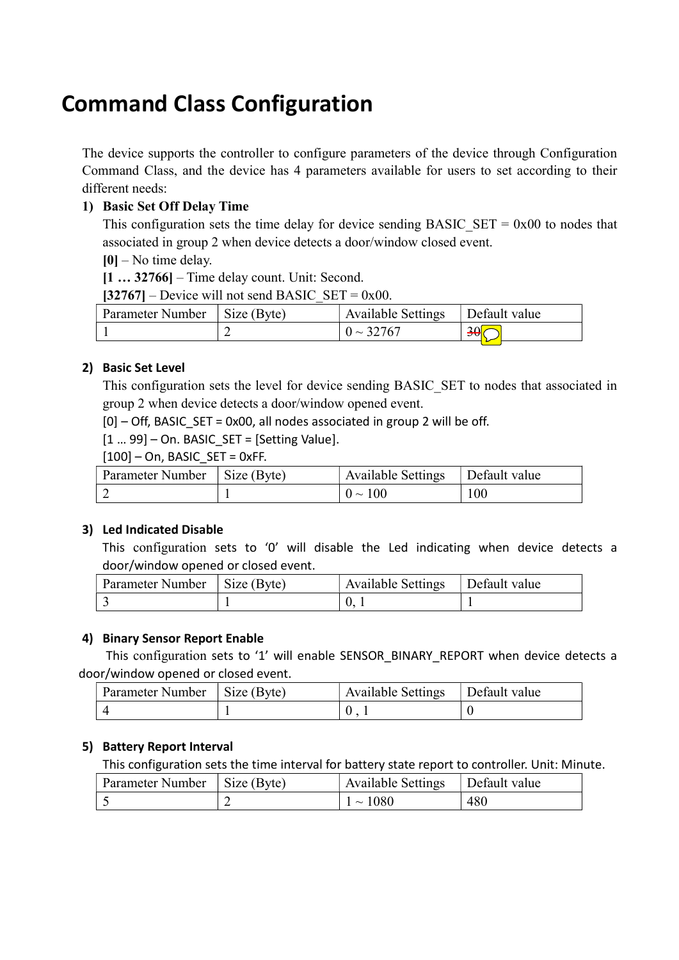## Command Class Configuration

The device supports the controller to configure parameters of the device through Configuration Command Class, and the device has 4 parameters available for users to set according to their different needs:

#### 1) Basic Set Off Delay Time

This configuration sets the time delay for device sending BASIC\_SET =  $0x00$  to nodes that associated in group 2 when device detects a door/window closed event.

 $[0]$  – No time delay.

[1 … 32766] – Time delay count. Unit: Second.

 $[32767]$  – Device will not send BASIC\_SET = 0x00.

| Parameter Number   Size (Byte) | Available Settings | Default value    |
|--------------------------------|--------------------|------------------|
|                                | $0 \sim 32767$     | .30 <sup>o</sup> |

#### 2) Basic Set Level

This configuration sets the level for device sending BASIC\_SET to nodes that associated in group 2 when device detects a door/window opened event.

 $[0]$  – Off, BASIC SET = 0x00, all nodes associated in group 2 will be off.

 $[1 - 99]$  – On. BASIC SET = [Setting Value].

 $[100]$  – On, BASIC SET = 0xFF.

| Parameter Number   Size (Byte) | Available Settings | Default value |
|--------------------------------|--------------------|---------------|
|                                | $0 \sim 100$       | 100           |

#### 3) Led Indicated Disable

This configuration sets to '0' will disable the Led indicating when device detects a door/window opened or closed event.

| Parameter Number   Size (Byte) | <b>Available Settings</b> | Default value |
|--------------------------------|---------------------------|---------------|
|                                |                           |               |

#### 4) Binary Sensor Report Enable

This configuration sets to '1' will enable SENSOR\_BINARY\_REPORT when device detects a door/window opened or closed event.

| Parameter Number   Size (Byte) | $\Delta$ Available Settings $\Box$ Default value |  |
|--------------------------------|--------------------------------------------------|--|
|                                |                                                  |  |

#### 5) Battery Report Interval

This configuration sets the time interval for battery state report to controller. Unit: Minute.

| Parameter Number   Size (Byte) | Available Settings   Default value |     |
|--------------------------------|------------------------------------|-----|
|                                | $1 \sim 1080$                      | 480 |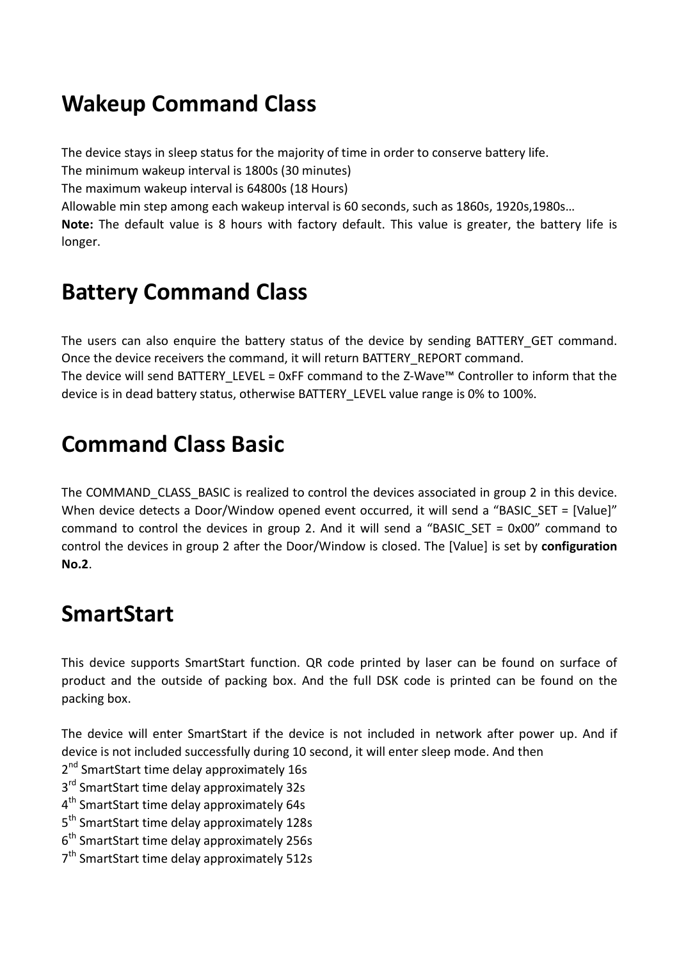## Wakeup Command Class

The device stays in sleep status for the majority of time in order to conserve battery life.

The minimum wakeup interval is 1800s (30 minutes)

The maximum wakeup interval is 64800s (18 Hours)

Allowable min step among each wakeup interval is 60 seconds, such as 1860s, 1920s,1980s…

Note: The default value is 8 hours with factory default. This value is greater, the battery life is longer.

## Battery Command Class

The users can also enquire the battery status of the device by sending BATTERY GET command. Once the device receivers the command, it will return BATTERY\_REPORT command. The device will send BATTERY\_LEVEL = 0xFF command to the Z-Wave™ Controller to inform that the device is in dead battery status, otherwise BATTERY\_LEVEL value range is 0% to 100%.

## Command Class Basic

The COMMAND CLASS BASIC is realized to control the devices associated in group 2 in this device. When device detects a Door/Window opened event occurred, it will send a "BASIC\_SET = [Value]" command to control the devices in group 2. And it will send a "BASIC SET =  $0x00$ " command to control the devices in group 2 after the Door/Window is closed. The [Value] is set by configuration No.2.

## **SmartStart**

This device supports SmartStart function. QR code printed by laser can be found on surface of product and the outside of packing box. And the full DSK code is printed can be found on the packing box.

The device will enter SmartStart if the device is not included in network after power up. And if device is not included successfully during 10 second, it will enter sleep mode. And then

2<sup>nd</sup> SmartStart time delay approximately 16s

3<sup>rd</sup> SmartStart time delay approximately 32s

- 4<sup>th</sup> SmartStart time delay approximately 64s
- 5<sup>th</sup> SmartStart time delay approximately 128s
- 6<sup>th</sup> SmartStart time delay approximately 256s
- 7<sup>th</sup> SmartStart time delay approximately 512s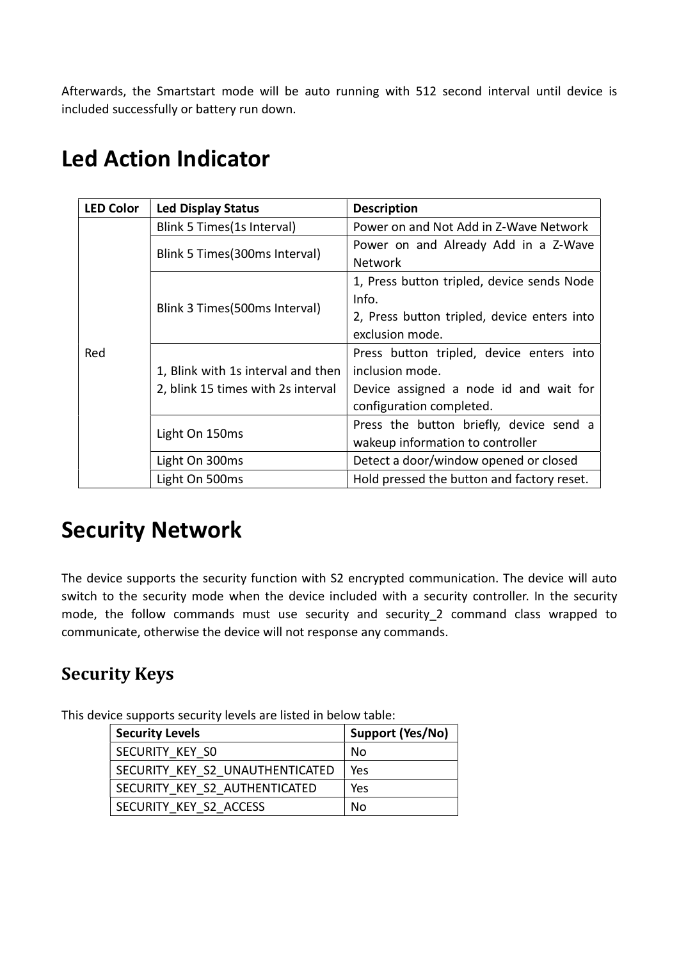Afterwards, the Smartstart mode will be auto running with 512 second interval until device is included successfully or battery run down.

| <b>LED Color</b> | <b>Led Display Status</b>          | <b>Description</b>                          |
|------------------|------------------------------------|---------------------------------------------|
|                  | Blink 5 Times (1s Interval)        | Power on and Not Add in Z-Wave Network      |
|                  |                                    | Power on and Already Add in a Z-Wave        |
|                  | Blink 5 Times (300ms Interval)     | <b>Network</b>                              |
|                  |                                    | 1, Press button tripled, device sends Node  |
|                  | Blink 3 Times (500ms Interval)     | Info.                                       |
|                  |                                    | 2, Press button tripled, device enters into |
|                  |                                    | exclusion mode.                             |
| Red              |                                    | Press button tripled, device enters into    |
|                  | 1, Blink with 1s interval and then | inclusion mode.                             |
|                  | 2, blink 15 times with 2s interval | Device assigned a node id and wait for      |
|                  |                                    | configuration completed.                    |
|                  | Light On 150ms                     | Press the button briefly, device send a     |
|                  |                                    | wakeup information to controller            |
|                  | Light On 300ms                     | Detect a door/window opened or closed       |
|                  | Light On 500ms                     | Hold pressed the button and factory reset.  |

# Led Action Indicator

### Security Network

The device supports the security function with S2 encrypted communication. The device will auto switch to the security mode when the device included with a security controller. In the security mode, the follow commands must use security and security\_2 command class wrapped to communicate, otherwise the device will not response any commands.

### Security Keys

This device supports security levels are listed in below table:

| <b>Security Levels</b>          | Support (Yes/No) |
|---------------------------------|------------------|
| SECURITY KEY SO                 | No               |
| SECURITY KEY S2 UNAUTHENTICATED | Yes              |
| SECURITY KEY S2 AUTHENTICATED   | Yes              |
| SECURITY KEY S2 ACCESS          | N٥               |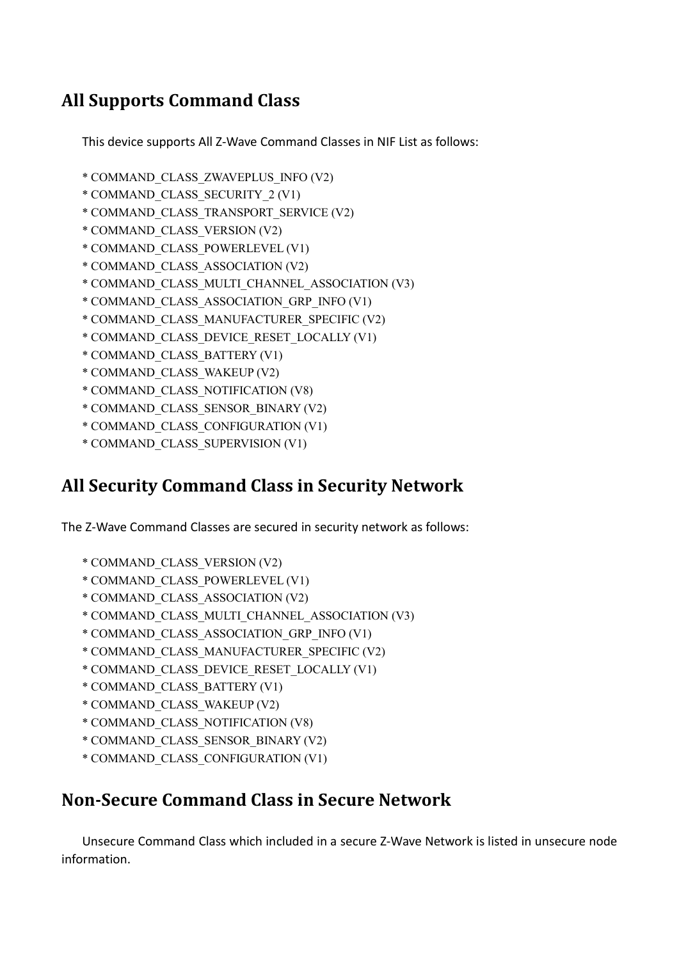### All Supports Command Class

This device supports All Z-Wave Command Classes in NIF List as follows:

- \* COMMAND\_CLASS\_ZWAVEPLUS\_INFO (V2)
- \* COMMAND\_CLASS\_SECURITY\_2 (V1)
- \* COMMAND\_CLASS\_TRANSPORT\_SERVICE (V2)
- \* COMMAND\_CLASS\_VERSION (V2)
- \* COMMAND\_CLASS\_POWERLEVEL (V1)
- \* COMMAND\_CLASS\_ASSOCIATION (V2)
- \* COMMAND\_CLASS\_MULTI\_CHANNEL\_ASSOCIATION (V3)
- \* COMMAND\_CLASS\_ASSOCIATION\_GRP\_INFO (V1)
- \* COMMAND\_CLASS\_MANUFACTURER\_SPECIFIC (V2)
- \* COMMAND\_CLASS\_DEVICE\_RESET\_LOCALLY (V1)
- \* COMMAND\_CLASS\_BATTERY (V1)
- \* COMMAND\_CLASS\_WAKEUP (V2)
- \* COMMAND\_CLASS\_NOTIFICATION (V8)
- \* COMMAND\_CLASS\_SENSOR\_BINARY (V2)
- \* COMMAND\_CLASS\_CONFIGURATION (V1)
- \* COMMAND\_CLASS\_SUPERVISION (V1)

#### All Security Command Class in Security Network

The Z-Wave Command Classes are secured in security network as follows:

- \* COMMAND\_CLASS\_VERSION (V2)
- \* COMMAND\_CLASS\_POWERLEVEL (V1)
- \* COMMAND\_CLASS\_ASSOCIATION (V2)
- \* COMMAND\_CLASS\_MULTI\_CHANNEL\_ASSOCIATION (V3)
- \* COMMAND\_CLASS\_ASSOCIATION\_GRP\_INFO (V1)
- \* COMMAND\_CLASS\_MANUFACTURER\_SPECIFIC (V2)
- \* COMMAND\_CLASS\_DEVICE\_RESET\_LOCALLY (V1)
- \* COMMAND\_CLASS\_BATTERY (V1)
- \* COMMAND\_CLASS\_WAKEUP (V2)
- \* COMMAND\_CLASS\_NOTIFICATION (V8)
- \* COMMAND\_CLASS\_SENSOR\_BINARY (V2)
- \* COMMAND\_CLASS\_CONFIGURATION (V1)

#### Non-Secure Command Class in Secure Network

Unsecure Command Class which included in a secure Z-Wave Network is listed in unsecure node information.